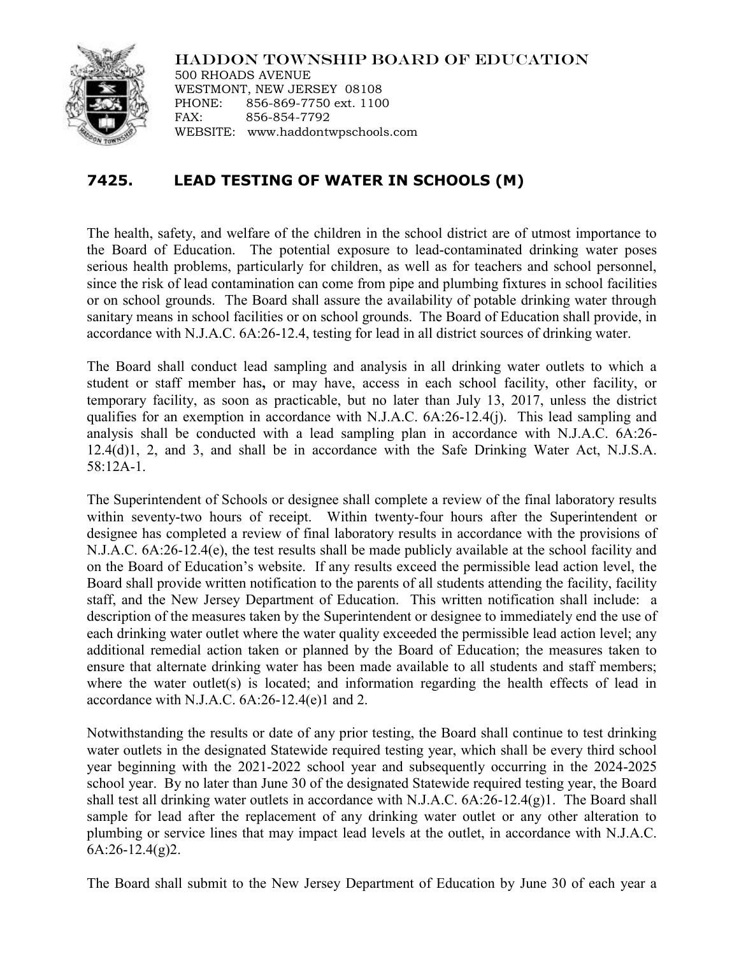

HADDON TOWNSHIP BOARD OF EDUCATION 500 RHOADS AVENUE WESTMONT, NEW JERSEY 08108 PHONE: 856-869-7750 ext. 1100 FAX: 856-854-7792 WEBSITE: www.haddontwpschools.com

## **7425. LEAD TESTING OF WATER IN SCHOOLS (M)**

The health, safety, and welfare of the children in the school district are of utmost importance to the Board of Education. The potential exposure to lead-contaminated drinking water poses serious health problems, particularly for children, as well as for teachers and school personnel, since the risk of lead contamination can come from pipe and plumbing fixtures in school facilities or on school grounds. The Board shall assure the availability of potable drinking water through sanitary means in school facilities or on school grounds. The Board of Education shall provide, in accordance with N.J.A.C. 6A:26-12.4, testing for lead in all district sources of drinking water.

The Board shall conduct lead sampling and analysis in all drinking water outlets to which a student or staff member has**,** or may have, access in each school facility, other facility, or temporary facility, as soon as practicable, but no later than July 13, 2017, unless the district qualifies for an exemption in accordance with N.J.A.C. 6A:26-12.4(j). This lead sampling and analysis shall be conducted with a lead sampling plan in accordance with N.J.A.C. 6A:26- 12.4(d)1, 2, and 3, and shall be in accordance with the Safe Drinking Water Act, N.J.S.A. 58:12A-1.

The Superintendent of Schools or designee shall complete a review of the final laboratory results within seventy-two hours of receipt. Within twenty-four hours after the Superintendent or designee has completed a review of final laboratory results in accordance with the provisions of N.J.A.C. 6A:26-12.4(e), the test results shall be made publicly available at the school facility and on the Board of Education's website. If any results exceed the permissible lead action level, the Board shall provide written notification to the parents of all students attending the facility, facility staff, and the New Jersey Department of Education. This written notification shall include: a description of the measures taken by the Superintendent or designee to immediately end the use of each drinking water outlet where the water quality exceeded the permissible lead action level; any additional remedial action taken or planned by the Board of Education; the measures taken to ensure that alternate drinking water has been made available to all students and staff members; where the water outlet(s) is located; and information regarding the health effects of lead in accordance with N.J.A.C. 6A:26-12.4(e)1 and 2.

Notwithstanding the results or date of any prior testing, the Board shall continue to test drinking water outlets in the designated Statewide required testing year, which shall be every third school year beginning with the 2021-2022 school year and subsequently occurring in the 2024-2025 school year. By no later than June 30 of the designated Statewide required testing year, the Board shall test all drinking water outlets in accordance with N.J.A.C. 6A:26-12.4(g)1. The Board shall sample for lead after the replacement of any drinking water outlet or any other alteration to plumbing or service lines that may impact lead levels at the outlet, in accordance with N.J.A.C.  $6A:26-12.4(g)2$ .

The Board shall submit to the New Jersey Department of Education by June 30 of each year a